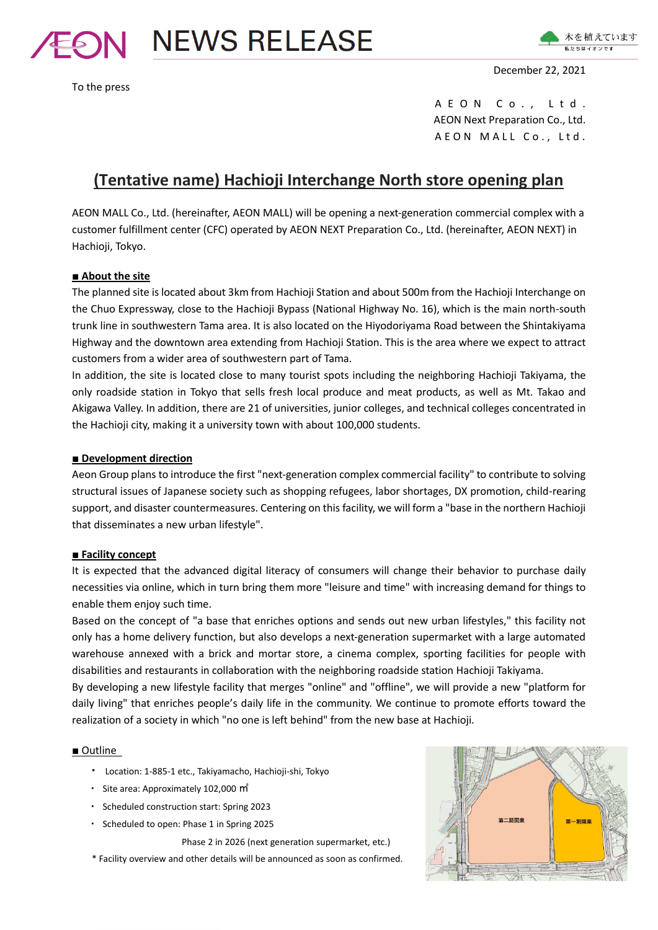

To the press



December 22, 2021

A E O N C o ., L t d . AEON Next Preparation Co., Ltd. A E O N M A L L C o., L t d.

# **(Tentative name) Hachioji Interchange North store opening plan**

AEON MALL Co., Ltd. (hereinafter, AEON MALL) will be opening a next-generation commercial complex with a customer fulfillment center (CFC) operated by AEON NEXT Preparation Co., Ltd. (hereinafter, AEON NEXT) in Hachioji, Tokyo.

# **■ About the site**

The planned site is located about 3km from Hachioji Station and about 500m from the Hachioji Interchange on the Chuo Expressway, close to the Hachioji Bypass (National Highway No. 16), which is the main north-south trunk line in southwestern Tama area. It is also located on the Hiyodoriyama Road between the Shintakiyama Highway and the downtown area extending from Hachioji Station. This is the area where we expect to attract customers from a wider area of southwestern part of Tama.

In addition, the site is located close to many tourist spots including the neighboring Hachioji Takiyama, the only roadside station in Tokyo that sells fresh local produce and meat products, as well as Mt. Takao and Akigawa Valley. In addition, there are 21 of universities, junior colleges, and technical colleges concentrated in the Hachioji city, making it a university town with about 100,000 students.

## ■ **Development direction**

Aeon Group plans to introduce the first "next-generation complex commercial facility" to contribute to solving structural issues of Japanese society such as shopping refugees, labor shortages, DX promotion, child-rearing support, and disaster countermeasures. Centering on this facility, we will form a "base in the northern Hachioji that disseminates a new urban lifestyle".

# **■ Facility concept**

It is expected that the advanced digital literacy of consumers will change their behavior to purchase daily necessities via online, which in turn bring them more "leisure and time" with increasing demand for things to enable them enjoy such time.

Based on the concept of "a base that enriches options and sends out new urban lifestyles," this facility not only has a home delivery function, but also develops a next-generation supermarket with a large automated warehouse annexed with a brick and mortar store, a cinema complex, sporting facilities for people with disabilities and restaurants in collaboration with the neighboring roadside station Hachioji Takiyama.

By developing a new lifestyle facility that merges "online" and "offline", we will provide a new "platform for daily living" that enriches people's daily life in the community. We continue to promote efforts toward the realization of a society in which "no one is left behind" from the new base at Hachioji.

### ■ Outline

- ・ Location: 1-885-1 etc., Takiyamacho, Hachioji-shi, Tokyo
- ・ Site area: Approximately 102,000 ㎡
- ・ Scheduled construction start: Spring 2023
- ・ Scheduled to open: Phase 1 in Spring 2025

Phase 2 in 2026 (next generation supermarket, etc.)

\* Facility overview and other details will be announced as soon as confirmed.